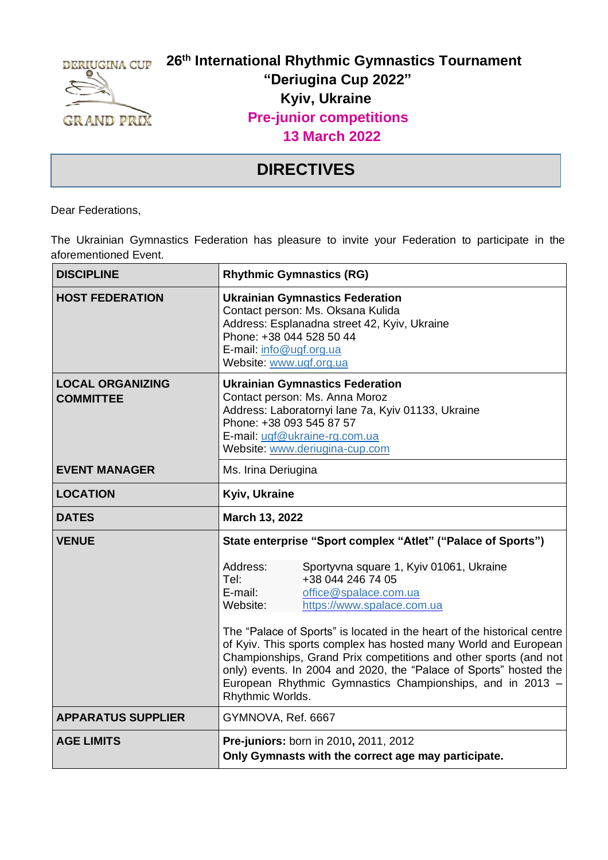

## **26 th International Rhythmic Gymnastics Tournament "Deriugina Cup 2022" Kyiv, Ukraine Pre-junior competitions 13 March 2022**

## **DIRECTIVES**

Dear Federations,

The Ukrainian Gymnastics Federation has pleasure to invite your Federation to participate in the aforementioned Event.

| <b>DISCIPLINE</b>                           | <b>Rhythmic Gymnastics (RG)</b>                                                                                                                                                                                                                                                                                                                                                                                                                       |  |  |  |
|---------------------------------------------|-------------------------------------------------------------------------------------------------------------------------------------------------------------------------------------------------------------------------------------------------------------------------------------------------------------------------------------------------------------------------------------------------------------------------------------------------------|--|--|--|
| <b>HOST FEDERATION</b>                      | <b>Ukrainian Gymnastics Federation</b><br>Contact person: Ms. Oksana Kulida<br>Address: Esplanadna street 42, Kyiv, Ukraine<br>Phone: +38 044 528 50 44<br>E-mail: info@ugf.org.ua<br>Website: www.ugf.org.ua                                                                                                                                                                                                                                         |  |  |  |
| <b>LOCAL ORGANIZING</b><br><b>COMMITTEE</b> | <b>Ukrainian Gymnastics Federation</b><br>Contact person: Ms. Anna Moroz<br>Address: Laboratornyi lane 7a, Kyiv 01133, Ukraine<br>Phone: +38 093 545 87 57<br>E-mail: ugf@ukraine-rg.com.ua<br>Website: www.deriugina-cup.com                                                                                                                                                                                                                         |  |  |  |
| <b>EVENT MANAGER</b>                        | Ms. Irina Deriugina                                                                                                                                                                                                                                                                                                                                                                                                                                   |  |  |  |
| <b>LOCATION</b>                             | Kyiv, Ukraine                                                                                                                                                                                                                                                                                                                                                                                                                                         |  |  |  |
| <b>DATES</b>                                | March 13, 2022                                                                                                                                                                                                                                                                                                                                                                                                                                        |  |  |  |
| <b>VENUE</b>                                | State enterprise "Sport complex "Atlet" ("Palace of Sports")                                                                                                                                                                                                                                                                                                                                                                                          |  |  |  |
|                                             | Address:<br>Sportyvna square 1, Kyiv 01061, Ukraine<br>+38 044 246 74 05<br>Tel:<br>E-mail:<br>office@spalace.com.ua<br>Website:<br>https://www.spalace.com.ua<br>The "Palace of Sports" is located in the heart of the historical centre<br>of Kyiv. This sports complex has hosted many World and European<br>Championships, Grand Prix competitions and other sports (and not<br>only) events. In 2004 and 2020, the "Palace of Sports" hosted the |  |  |  |
|                                             | European Rhythmic Gymnastics Championships, and in 2013 -<br>Rhythmic Worlds.                                                                                                                                                                                                                                                                                                                                                                         |  |  |  |
| <b>APPARATUS SUPPLIER</b>                   | GYMNOVA, Ref. 6667                                                                                                                                                                                                                                                                                                                                                                                                                                    |  |  |  |
| <b>AGE LIMITS</b>                           | Pre-juniors: born in 2010, 2011, 2012<br>Only Gymnasts with the correct age may participate.                                                                                                                                                                                                                                                                                                                                                          |  |  |  |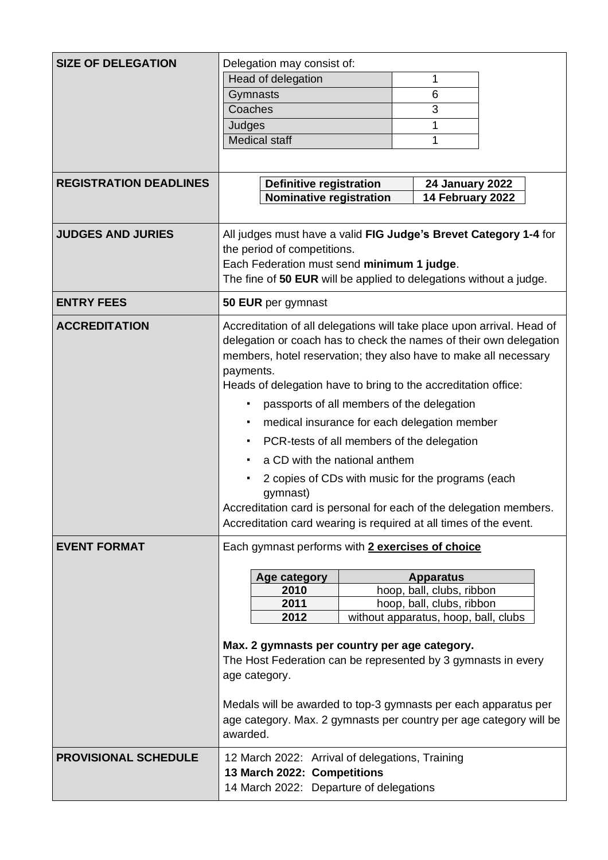| <b>SIZE OF DELEGATION</b><br><b>REGISTRATION DEADLINES</b> | Delegation may consist of:<br>Head of delegation<br>1<br>6<br>Gymnasts<br>Coaches<br>3<br>1<br>Judges<br><b>Medical staff</b><br>1<br><b>Definitive registration</b><br><b>24 January 2022</b><br><b>Nominative registration</b><br>14 February 2022                                                                                                                                                                                                                                                                                                                                                                                                                                                                     |  |  |  |
|------------------------------------------------------------|--------------------------------------------------------------------------------------------------------------------------------------------------------------------------------------------------------------------------------------------------------------------------------------------------------------------------------------------------------------------------------------------------------------------------------------------------------------------------------------------------------------------------------------------------------------------------------------------------------------------------------------------------------------------------------------------------------------------------|--|--|--|
| <b>JUDGES AND JURIES</b>                                   | All judges must have a valid FIG Judge's Brevet Category 1-4 for<br>the period of competitions.<br>Each Federation must send minimum 1 judge.<br>The fine of 50 EUR will be applied to delegations without a judge.                                                                                                                                                                                                                                                                                                                                                                                                                                                                                                      |  |  |  |
| <b>ENTRY FEES</b>                                          | 50 EUR per gymnast                                                                                                                                                                                                                                                                                                                                                                                                                                                                                                                                                                                                                                                                                                       |  |  |  |
| <b>ACCREDITATION</b>                                       | Accreditation of all delegations will take place upon arrival. Head of<br>delegation or coach has to check the names of their own delegation<br>members, hotel reservation; they also have to make all necessary<br>payments.<br>Heads of delegation have to bring to the accreditation office:<br>passports of all members of the delegation<br>٠<br>medical insurance for each delegation member<br>$\blacksquare$<br>PCR-tests of all members of the delegation<br>٠<br>a CD with the national anthem<br>٠<br>2 copies of CDs with music for the programs (each<br>gymnast)<br>Accreditation card is personal for each of the delegation members<br>Accreditation card wearing is required at all times of the event. |  |  |  |
| <b>EVENT FORMAT</b>                                        | Each gymnast performs with 2 exercises of choice                                                                                                                                                                                                                                                                                                                                                                                                                                                                                                                                                                                                                                                                         |  |  |  |
|                                                            | Age category<br><b>Apparatus</b><br>2010<br>hoop, ball, clubs, ribbon<br>2011<br>hoop, ball, clubs, ribbon<br>2012<br>without apparatus, hoop, ball, clubs<br>Max. 2 gymnasts per country per age category.<br>The Host Federation can be represented by 3 gymnasts in every<br>age category.<br>Medals will be awarded to top-3 gymnasts per each apparatus per<br>age category. Max. 2 gymnasts per country per age category will be<br>awarded.                                                                                                                                                                                                                                                                       |  |  |  |
| <b>PROVISIONAL SCHEDULE</b>                                | 12 March 2022: Arrival of delegations, Training<br>13 March 2022: Competitions<br>14 March 2022: Departure of delegations                                                                                                                                                                                                                                                                                                                                                                                                                                                                                                                                                                                                |  |  |  |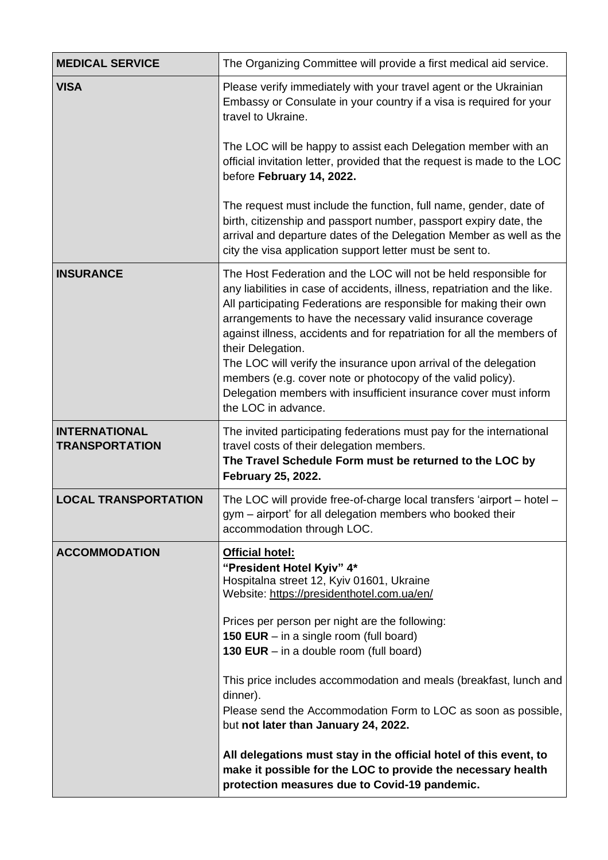| <b>MEDICAL SERVICE</b>                        | The Organizing Committee will provide a first medical aid service.                                                                                                                                                                                                                                                                                                                                                                                                                                                                                                                                              |  |  |  |  |  |
|-----------------------------------------------|-----------------------------------------------------------------------------------------------------------------------------------------------------------------------------------------------------------------------------------------------------------------------------------------------------------------------------------------------------------------------------------------------------------------------------------------------------------------------------------------------------------------------------------------------------------------------------------------------------------------|--|--|--|--|--|
| <b>VISA</b>                                   | Please verify immediately with your travel agent or the Ukrainian<br>Embassy or Consulate in your country if a visa is required for your<br>travel to Ukraine.                                                                                                                                                                                                                                                                                                                                                                                                                                                  |  |  |  |  |  |
|                                               | The LOC will be happy to assist each Delegation member with an<br>official invitation letter, provided that the request is made to the LOC<br>before February 14, 2022.                                                                                                                                                                                                                                                                                                                                                                                                                                         |  |  |  |  |  |
|                                               | The request must include the function, full name, gender, date of<br>birth, citizenship and passport number, passport expiry date, the<br>arrival and departure dates of the Delegation Member as well as the<br>city the visa application support letter must be sent to.                                                                                                                                                                                                                                                                                                                                      |  |  |  |  |  |
| <b>INSURANCE</b>                              | The Host Federation and the LOC will not be held responsible for<br>any liabilities in case of accidents, illness, repatriation and the like.<br>All participating Federations are responsible for making their own<br>arrangements to have the necessary valid insurance coverage<br>against illness, accidents and for repatriation for all the members of<br>their Delegation.<br>The LOC will verify the insurance upon arrival of the delegation<br>members (e.g. cover note or photocopy of the valid policy).<br>Delegation members with insufficient insurance cover must inform<br>the LOC in advance. |  |  |  |  |  |
| <b>INTERNATIONAL</b><br><b>TRANSPORTATION</b> | The invited participating federations must pay for the international<br>travel costs of their delegation members.<br>The Travel Schedule Form must be returned to the LOC by<br><b>February 25, 2022.</b>                                                                                                                                                                                                                                                                                                                                                                                                       |  |  |  |  |  |
| <b>LOCAL TRANSPORTATION</b>                   | The LOC will provide free-of-charge local transfers 'airport - hotel -<br>gym – airport' for all delegation members who booked their<br>accommodation through LOC.                                                                                                                                                                                                                                                                                                                                                                                                                                              |  |  |  |  |  |
| <b>ACCOMMODATION</b>                          | <b>Official hotel:</b><br>"President Hotel Kyiv" 4*<br>Hospitalna street 12, Kyiv 01601, Ukraine<br>Website: https://presidenthotel.com.ua/en/<br>Prices per person per night are the following:<br><b>150 EUR</b> $-$ in a single room (full board)<br>130 EUR $-$ in a double room (full board)                                                                                                                                                                                                                                                                                                               |  |  |  |  |  |
|                                               | This price includes accommodation and meals (breakfast, lunch and<br>dinner).<br>Please send the Accommodation Form to LOC as soon as possible,<br>but not later than January 24, 2022.                                                                                                                                                                                                                                                                                                                                                                                                                         |  |  |  |  |  |
|                                               | All delegations must stay in the official hotel of this event, to<br>make it possible for the LOC to provide the necessary health<br>protection measures due to Covid-19 pandemic.                                                                                                                                                                                                                                                                                                                                                                                                                              |  |  |  |  |  |